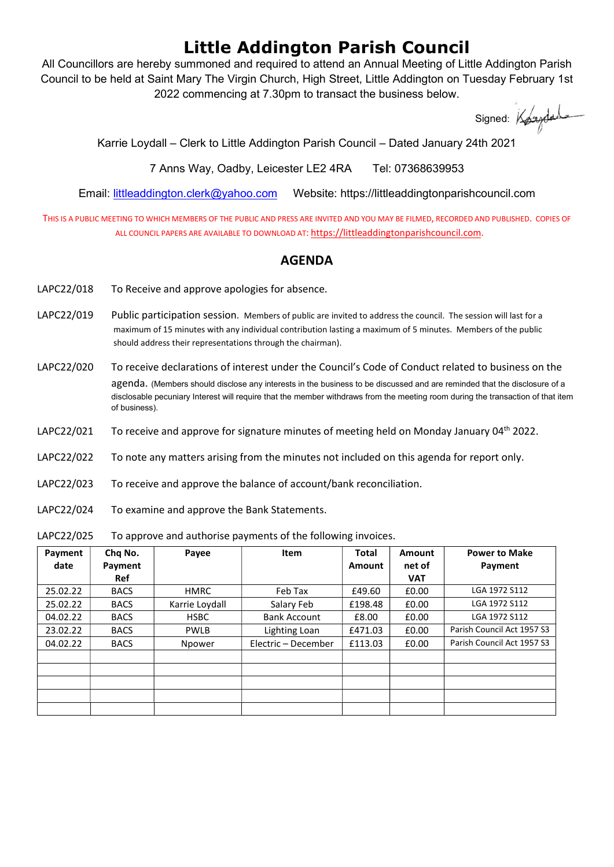## Little Addington Parish Council

All Councillors are hereby summoned and required to attend an Annual Meeting of Little Addington Parish Council to be held at Saint Mary The Virgin Church, High Street, Little Addington on Tuesday February 1st 2022 commencing at 7.30pm to transact the business below.

Signed: Koundal

Karrie Loydall – Clerk to Little Addington Parish Council – Dated January 24th 2021

7 Anns Way, Oadby, Leicester LE2 4RA Tel: 07368639953

Email: littleaddington.clerk@yahoo.com Website: https://littleaddingtonparishcouncil.com

THIS IS A PUBLIC MEETING TO WHICH MEMBERS OF THE PUBLIC AND PRESS ARE INVITED AND YOU MAY BE FILMED, RECORDED AND PUBLISHED. COPIES OF ALL COUNCIL PAPERS ARE AVAILABLE TO DOWNLOAD AT: https://littleaddingtonparishcouncil.com.

## AGENDA

- LAPC22/018 To Receive and approve apologies for absence.
- LAPC22/019 Public participation session. Members of public are invited to address the council. The session will last for a maximum of 15 minutes with any individual contribution lasting a maximum of 5 minutes. Members of the public should address their representations through the chairman).
- LAPC22/020 To receive declarations of interest under the Council's Code of Conduct related to business on the agenda. (Members should disclose any interests in the business to be discussed and are reminded that the disclosure of a disclosable pecuniary Interest will require that the member withdraws from the meeting room during the transaction of that item of business).
- LAPC22/021 To receive and approve for signature minutes of meeting held on Monday January 04<sup>th</sup> 2022.
- LAPC22/022 To note any matters arising from the minutes not included on this agenda for report only.
- LAPC22/023 To receive and approve the balance of account/bank reconciliation.
- LAPC22/024 To examine and approve the Bank Statements.

LAPC22/025 To approve and authorise payments of the following invoices.

| Payment  | Chq No.     | Payee          | <b>Item</b>         | <b>Total</b> | Amount     | <b>Power to Make</b>       |
|----------|-------------|----------------|---------------------|--------------|------------|----------------------------|
| date     | Payment     |                |                     | Amount       | net of     | Payment                    |
|          | <b>Ref</b>  |                |                     |              | <b>VAT</b> |                            |
| 25.02.22 | <b>BACS</b> | <b>HMRC</b>    | Feb Tax             | £49.60       | £0.00      | LGA 1972 S112              |
| 25.02.22 | <b>BACS</b> | Karrie Loydall | Salary Feb          | £198.48      | £0.00      | LGA 1972 S112              |
| 04.02.22 | <b>BACS</b> | <b>HSBC</b>    | <b>Bank Account</b> | £8.00        | £0.00      | LGA 1972 S112              |
| 23.02.22 | <b>BACS</b> | <b>PWLB</b>    | Lighting Loan       | £471.03      | £0.00      | Parish Council Act 1957 S3 |
| 04.02.22 | <b>BACS</b> | Npower         | Electric - December | £113.03      | £0.00      | Parish Council Act 1957 S3 |
|          |             |                |                     |              |            |                            |
|          |             |                |                     |              |            |                            |
|          |             |                |                     |              |            |                            |
|          |             |                |                     |              |            |                            |
|          |             |                |                     |              |            |                            |